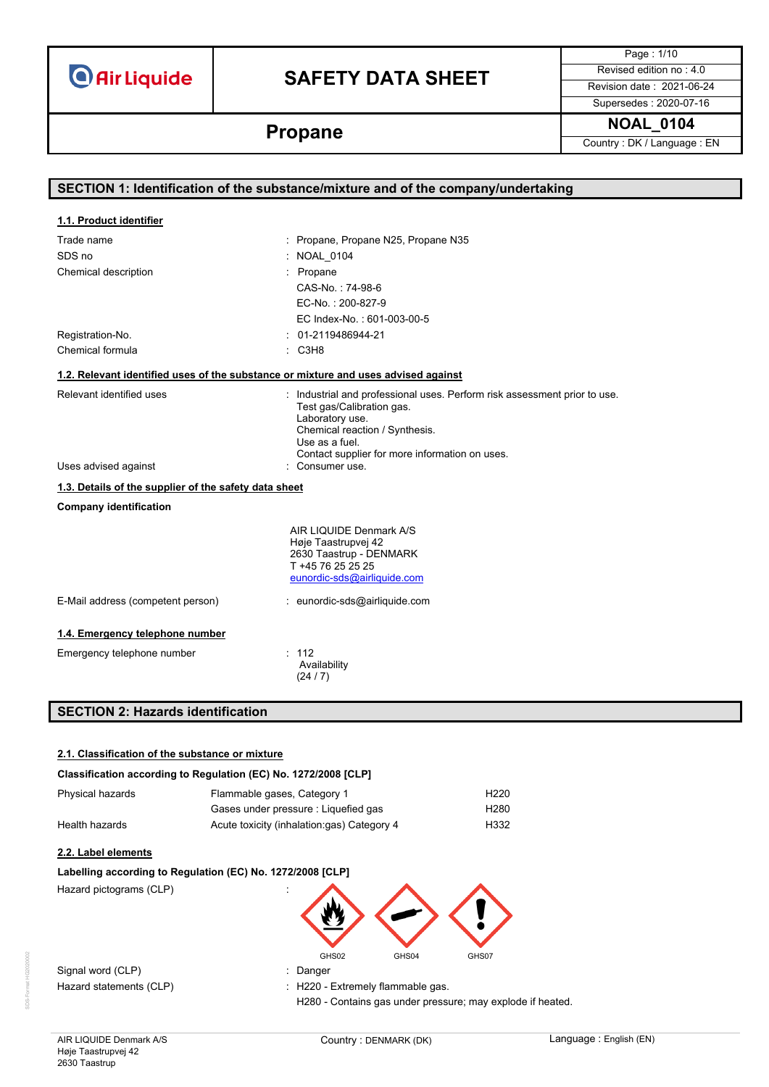## **SAFETY DATA SHEET** Revised edition no : 4.0

Page : 1/10 Supersedes : 2020-07-16

**Propane** NOAL\_0104

| SECTION 1: Identification of the substance/mixture and of the company/undertaking  |                                                                                                                                                                                                                                 |  |
|------------------------------------------------------------------------------------|---------------------------------------------------------------------------------------------------------------------------------------------------------------------------------------------------------------------------------|--|
|                                                                                    |                                                                                                                                                                                                                                 |  |
| 1.1. Product identifier                                                            |                                                                                                                                                                                                                                 |  |
| Trade name                                                                         | : Propane, Propane N25, Propane N35                                                                                                                                                                                             |  |
| SDS no                                                                             | : NOAL 0104                                                                                                                                                                                                                     |  |
| Chemical description                                                               | Propane                                                                                                                                                                                                                         |  |
|                                                                                    | CAS-No.: 74-98-6                                                                                                                                                                                                                |  |
|                                                                                    | EC-No.: 200-827-9                                                                                                                                                                                                               |  |
|                                                                                    | EC Index-No.: 601-003-00-5                                                                                                                                                                                                      |  |
| Registration-No.                                                                   | 01-2119486944-21                                                                                                                                                                                                                |  |
| Chemical formula                                                                   | : C3H8                                                                                                                                                                                                                          |  |
| 1.2. Relevant identified uses of the substance or mixture and uses advised against |                                                                                                                                                                                                                                 |  |
| Relevant identified uses                                                           | : Industrial and professional uses. Perform risk assessment prior to use.<br>Test gas/Calibration gas.<br>Laboratory use.<br>Chemical reaction / Synthesis.<br>Use as a fuel.<br>Contact supplier for more information on uses. |  |
| Uses advised against                                                               | : Consumer use.                                                                                                                                                                                                                 |  |
| 1.3. Details of the supplier of the safety data sheet                              |                                                                                                                                                                                                                                 |  |
| <b>Company identification</b>                                                      |                                                                                                                                                                                                                                 |  |
|                                                                                    | AIR LIQUIDE Denmark A/S<br>Høje Taastrupvej 42<br>2630 Taastrup - DENMARK<br>T +45 76 25 25 25<br>eunordic-sds@airliquide.com                                                                                                   |  |
| E-Mail address (competent person)                                                  | : eunordic-sds@airliquide.com                                                                                                                                                                                                   |  |
| 1.4. Emergency telephone number                                                    |                                                                                                                                                                                                                                 |  |
| Emergency telephone number                                                         | : 112<br>Availability<br>(24/7)                                                                                                                                                                                                 |  |
| <b>SECTION 2: Hazards identification</b>                                           |                                                                                                                                                                                                                                 |  |

### **2.1. Classification of the substance or mixture**

### **Classification according to Regulation (EC) No. 1272/2008 [CLP]**

| Physical hazards | Flammable gases, Category 1                | H <sub>220</sub> |
|------------------|--------------------------------------------|------------------|
|                  | Gases under pressure : Liquefied gas       | H <sub>280</sub> |
| Health hazards   | Acute toxicity (inhalation:gas) Category 4 | H332             |

#### **2.2. Label elements**

| Labelling according to Regulation (EC) No. 1272/2008 [CLP] |                   |  |
|------------------------------------------------------------|-------------------|--|
| Hazard pictograms (CLP)                                    | $\langle \rangle$ |  |



Signal word (CLP) in the state of the Signal word (CLP) in the state of the Signal word (CLP) in the Signal state of the Signal Signal Signal Signal Signal Signal Signal Signal Signal Signal Signal Signal Signal Signal Sig

Hazard statements (CLP)  $\qquad \qquad$ : H220 - Extremely flammable gas.

H280 - Contains gas under pressure; may explode if heated.

SDS-Format HG2020002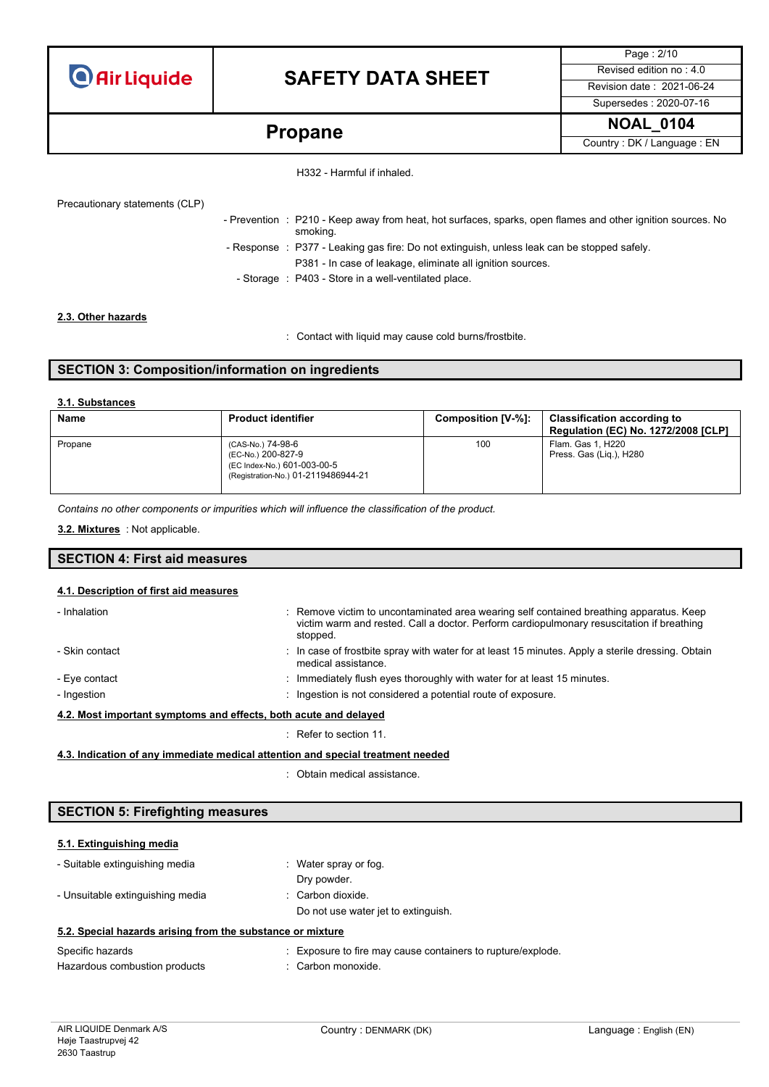## **SAFETY DATA SHEET** Revised edition no : 4.0

Page : 2/10 Supersedes : 2020-07-16

**Propane** NOAL\_0104

H332 - Harmful if inhaled.

| Precautionary statements (CLP) |                                                                                                                                                           |
|--------------------------------|-----------------------------------------------------------------------------------------------------------------------------------------------------------|
|                                | - Prevention : P210 - Keep away from heat, hot surfaces, sparks, open flames and other ignition sources. No<br>smoking.                                   |
|                                | - Response : P377 - Leaking gas fire: Do not extinguish, unless leak can be stopped safely.<br>P381 - In case of leakage, eliminate all ignition sources. |
|                                | - Storage : P403 - Store in a well-ventilated place.                                                                                                      |
|                                |                                                                                                                                                           |

#### **2.3. Other hazards**

: Contact with liquid may cause cold burns/frostbite.

#### **SECTION 3: Composition/information on ingredients**

#### **3.1. Substances**

| <b>Name</b> | <b>Product identifier</b>                                                                                     | Composition [V-%]: | <b>Classification according to</b><br><b>Regulation (EC) No. 1272/2008 [CLP]</b> |
|-------------|---------------------------------------------------------------------------------------------------------------|--------------------|----------------------------------------------------------------------------------|
| Propane     | (CAS-No.) 74-98-6<br>(EC-No.) 200-827-9<br>(EC Index-No.) 601-003-00-5<br>(Registration-No.) 01-2119486944-21 | 100                | Flam. Gas 1, H220<br>Press. Gas (Lig.), H280                                     |

*Contains no other components or impurities which will influence the classification of the product.*

: Not applicable. **3.2. Mixtures**

### **SECTION 4: First aid measures**

#### **4.1. Description of first aid measures**

| - Inhalation                                                     | : Remove victim to uncontaminated area wearing self contained breathing apparatus. Keep<br>victim warm and rested. Call a doctor. Perform cardiopulmonary resuscitation if breathing<br>stopped. |
|------------------------------------------------------------------|--------------------------------------------------------------------------------------------------------------------------------------------------------------------------------------------------|
| - Skin contact                                                   | : In case of frostbite spray with water for at least 15 minutes. Apply a sterile dressing. Obtain<br>medical assistance.                                                                         |
| - Eye contact                                                    | : Immediately flush eyes thoroughly with water for at least 15 minutes.                                                                                                                          |
| - Ingestion                                                      | : Ingestion is not considered a potential route of exposure.                                                                                                                                     |
| 4.2. Most important symptoms and effects, both acute and delayed |                                                                                                                                                                                                  |
|                                                                  | $\therefore$ Refer to section 11.                                                                                                                                                                |

#### **4.3. Indication of any immediate medical attention and special treatment needed**

: Obtain medical assistance.

#### **SECTION 5: Firefighting measures**

| 5.1. Extinguishing media                                   |                                                                                   |
|------------------------------------------------------------|-----------------------------------------------------------------------------------|
| - Suitable extinguishing media                             | Water spray or fog.<br>÷.<br>Dry powder.                                          |
| - Unsuitable extinguishing media                           | : Carbon dioxide.<br>Do not use water jet to extinguish.                          |
| 5.2. Special hazards arising from the substance or mixture |                                                                                   |
| Specific hazards<br>Hazardous combustion products          | : Exposure to fire may cause containers to rupture/explode.<br>: Carbon monoxide. |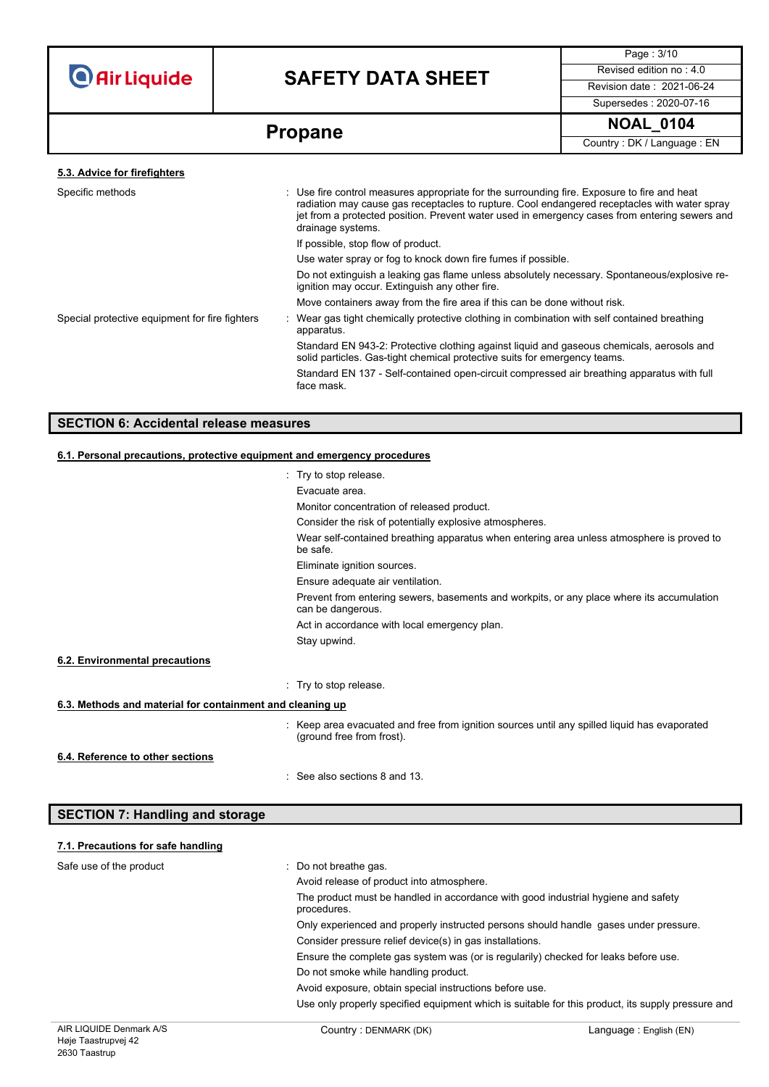

## **SAFETY DATA SHEET** Revised edition no : 4.0

Page : 3/10 Supersedes : 2020-07-16

**Propane NOAL\_0104 Propane Propane Propane Propane Propane Propane Propane Propane Propane Propane Propane Prop** 

| : Use fire control measures appropriate for the surrounding fire. Exposure to fire and heat<br>radiation may cause gas receptacles to rupture. Cool endangered receptacles with water spray<br>jet from a protected position. Prevent water used in emergency cases from entering sewers and<br>drainage systems. |
|-------------------------------------------------------------------------------------------------------------------------------------------------------------------------------------------------------------------------------------------------------------------------------------------------------------------|
| If possible, stop flow of product.                                                                                                                                                                                                                                                                                |
| Use water spray or fog to knock down fire fumes if possible.                                                                                                                                                                                                                                                      |
| Do not extinguish a leaking gas flame unless absolutely necessary. Spontaneous/explosive re-<br>ignition may occur. Extinguish any other fire.                                                                                                                                                                    |
| Move containers away from the fire area if this can be done without risk.                                                                                                                                                                                                                                         |
| Wear gas tight chemically protective clothing in combination with self contained breathing<br>apparatus.                                                                                                                                                                                                          |
| Standard EN 943-2: Protective clothing against liquid and gaseous chemicals, aerosols and<br>solid particles. Gas-tight chemical protective suits for emergency teams.                                                                                                                                            |
| Standard EN 137 - Self-contained open-circuit compressed air breathing apparatus with full<br>face mask.                                                                                                                                                                                                          |
|                                                                                                                                                                                                                                                                                                                   |

#### **SECTION 6: Accidental release measures**

#### **6.1. Personal precautions, protective equipment and emergency procedures**

|                                                           | : Try to stop release.                                                                                                    |
|-----------------------------------------------------------|---------------------------------------------------------------------------------------------------------------------------|
|                                                           | Evacuate area.                                                                                                            |
|                                                           | Monitor concentration of released product.                                                                                |
|                                                           | Consider the risk of potentially explosive atmospheres.                                                                   |
|                                                           | Wear self-contained breathing apparatus when entering area unless atmosphere is proved to<br>be safe.                     |
|                                                           | Eliminate ignition sources.                                                                                               |
|                                                           | Ensure adequate air ventilation.                                                                                          |
|                                                           | Prevent from entering sewers, basements and workpits, or any place where its accumulation<br>can be dangerous.            |
|                                                           | Act in accordance with local emergency plan.                                                                              |
|                                                           | Stay upwind.                                                                                                              |
| 6.2. Environmental precautions                            |                                                                                                                           |
|                                                           | : Try to stop release.                                                                                                    |
| 6.3. Methods and material for containment and cleaning up |                                                                                                                           |
|                                                           | : Keep area evacuated and free from ignition sources until any spilled liquid has evaporated<br>(ground free from frost). |
| 6.4. Reference to other sections                          |                                                                                                                           |
|                                                           | $\therefore$ See also sections 8 and 13.                                                                                  |

### **SECTION 7: Handling and storage**

| 7.1. Precautions for safe handling |                                                                                                   |                        |
|------------------------------------|---------------------------------------------------------------------------------------------------|------------------------|
| Safe use of the product            | : Do not breathe gas.                                                                             |                        |
|                                    | Avoid release of product into atmosphere.                                                         |                        |
|                                    | The product must be handled in accordance with good industrial hygiene and safety<br>procedures.  |                        |
|                                    | Only experienced and properly instructed persons should handle gases under pressure.              |                        |
|                                    | Consider pressure relief device(s) in gas installations.                                          |                        |
|                                    | Ensure the complete gas system was (or is regularily) checked for leaks before use.               |                        |
|                                    | Do not smoke while handling product.                                                              |                        |
|                                    | Avoid exposure, obtain special instructions before use.                                           |                        |
|                                    | Use only properly specified equipment which is suitable for this product, its supply pressure and |                        |
| AIR LIQUIDE Denmark A/S            | Country: DENMARK (DK)                                                                             | Language: English (EN) |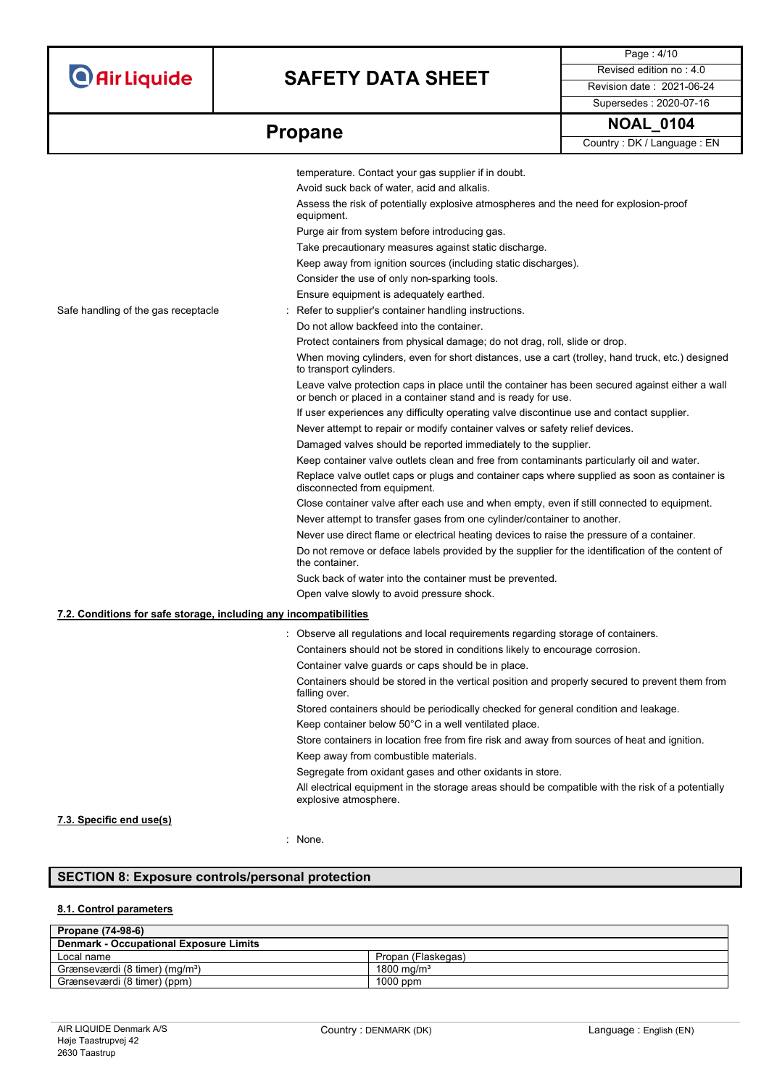## **SAFETY DATA SHEET** Revised edition no : 4.0

Page : 4/10 Supersedes : 2020-07-16

|                                                                   | temperature. Contact your gas supplier if in doubt.                                                                                                              |
|-------------------------------------------------------------------|------------------------------------------------------------------------------------------------------------------------------------------------------------------|
|                                                                   | Avoid suck back of water, acid and alkalis.                                                                                                                      |
|                                                                   | Assess the risk of potentially explosive atmospheres and the need for explosion-proof<br>equipment.                                                              |
|                                                                   | Purge air from system before introducing gas.                                                                                                                    |
|                                                                   | Take precautionary measures against static discharge.                                                                                                            |
|                                                                   | Keep away from ignition sources (including static discharges).                                                                                                   |
|                                                                   | Consider the use of only non-sparking tools.                                                                                                                     |
|                                                                   | Ensure equipment is adequately earthed.                                                                                                                          |
| Safe handling of the gas receptacle                               | Refer to supplier's container handling instructions.                                                                                                             |
|                                                                   | Do not allow backfeed into the container.                                                                                                                        |
|                                                                   | Protect containers from physical damage; do not drag, roll, slide or drop.                                                                                       |
|                                                                   | When moving cylinders, even for short distances, use a cart (trolley, hand truck, etc.) designed<br>to transport cylinders.                                      |
|                                                                   | Leave valve protection caps in place until the container has been secured against either a wall<br>or bench or placed in a container stand and is ready for use. |
|                                                                   | If user experiences any difficulty operating valve discontinue use and contact supplier.                                                                         |
|                                                                   | Never attempt to repair or modify container valves or safety relief devices.                                                                                     |
|                                                                   | Damaged valves should be reported immediately to the supplier.                                                                                                   |
|                                                                   | Keep container valve outlets clean and free from contaminants particularly oil and water.                                                                        |
|                                                                   | Replace valve outlet caps or plugs and container caps where supplied as soon as container is<br>disconnected from equipment.                                     |
|                                                                   | Close container valve after each use and when empty, even if still connected to equipment.                                                                       |
|                                                                   | Never attempt to transfer gases from one cylinder/container to another.                                                                                          |
|                                                                   | Never use direct flame or electrical heating devices to raise the pressure of a container.                                                                       |
|                                                                   | Do not remove or deface labels provided by the supplier for the identification of the content of<br>the container.                                               |
|                                                                   | Suck back of water into the container must be prevented.                                                                                                         |
|                                                                   | Open valve slowly to avoid pressure shock.                                                                                                                       |
| 7.2. Conditions for safe storage, including any incompatibilities |                                                                                                                                                                  |
|                                                                   | : Observe all regulations and local requirements regarding storage of containers.                                                                                |
|                                                                   | Containers should not be stored in conditions likely to encourage corrosion.                                                                                     |
|                                                                   | Container valve guards or caps should be in place.                                                                                                               |
|                                                                   | Containers should be stored in the vertical position and properly secured to prevent them from<br>falling over.                                                  |
|                                                                   | Stored containers should be periodically checked for general condition and leakage.                                                                              |
|                                                                   | Keep container below 50°C in a well ventilated place.                                                                                                            |
|                                                                   | Store containers in location free from fire risk and away from sources of heat and ignition.                                                                     |
|                                                                   | Keep away from combustible materials.                                                                                                                            |
|                                                                   | Segregate from oxidant gases and other oxidants in store.                                                                                                        |
|                                                                   | All electrical equipment in the storage areas should be compatible with the risk of a potentially<br>explosive atmosphere.                                       |
| 7.3. Specific end use(s)                                          |                                                                                                                                                                  |

: None.

### **SECTION 8: Exposure controls/personal protection**

### **8.1. Control parameters**

| Propane (74-98-6)                             |                        |  |
|-----------------------------------------------|------------------------|--|
| <b>Denmark - Occupational Exposure Limits</b> |                        |  |
| Local name                                    | Propan (Flaskegas)     |  |
| Grænseværdi (8 timer) (mg/m <sup>3</sup> )    | 1800 mg/m <sup>3</sup> |  |
| Grænseværdi (8 timer) (ppm)                   | $1000$ ppm             |  |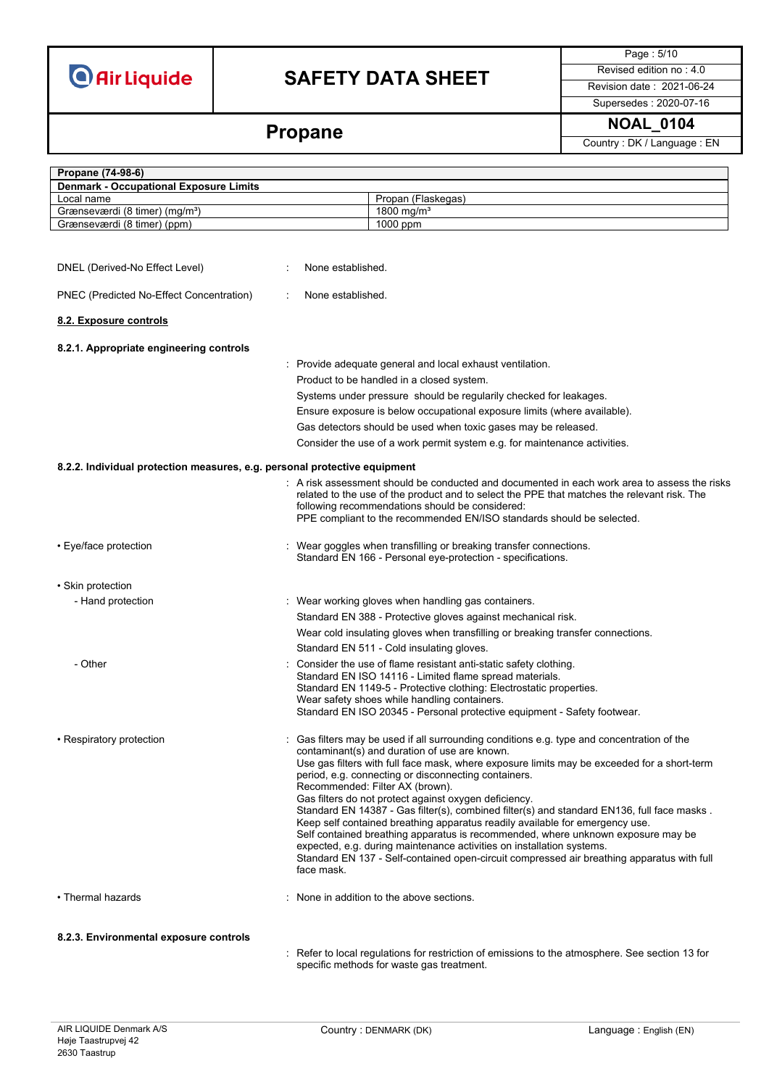## **SAFETY DATA SHEET** Revised edition no : 4.0

Page : 5/10

Supersedes : 2020-07-16

# **Propane** NOAL\_0104<br>
Country : DK / Language : EN

| Propane (74-98-6)                                                         |                   |                                                                                                                                                                                                                                                |
|---------------------------------------------------------------------------|-------------------|------------------------------------------------------------------------------------------------------------------------------------------------------------------------------------------------------------------------------------------------|
| <b>Denmark - Occupational Exposure Limits</b>                             |                   |                                                                                                                                                                                                                                                |
| Local name                                                                |                   | Propan (Flaskegas)                                                                                                                                                                                                                             |
| Grænseværdi (8 timer) (mg/m <sup>3</sup> )                                |                   | 1800 mg/m <sup>3</sup>                                                                                                                                                                                                                         |
| Grænseværdi (8 timer) (ppm)                                               |                   | 1000 ppm                                                                                                                                                                                                                                       |
|                                                                           |                   |                                                                                                                                                                                                                                                |
| DNEL (Derived-No Effect Level)                                            | None established. |                                                                                                                                                                                                                                                |
| PNEC (Predicted No-Effect Concentration)                                  | None established. |                                                                                                                                                                                                                                                |
| 8.2. Exposure controls                                                    |                   |                                                                                                                                                                                                                                                |
| 8.2.1. Appropriate engineering controls                                   |                   |                                                                                                                                                                                                                                                |
|                                                                           |                   | : Provide adequate general and local exhaust ventilation.                                                                                                                                                                                      |
|                                                                           |                   | Product to be handled in a closed system.                                                                                                                                                                                                      |
|                                                                           |                   | Systems under pressure should be regularily checked for leakages.                                                                                                                                                                              |
|                                                                           |                   | Ensure exposure is below occupational exposure limits (where available).                                                                                                                                                                       |
|                                                                           |                   | Gas detectors should be used when toxic gases may be released.                                                                                                                                                                                 |
|                                                                           |                   | Consider the use of a work permit system e.g. for maintenance activities.                                                                                                                                                                      |
| 8.2.2. Individual protection measures, e.g. personal protective equipment |                   |                                                                                                                                                                                                                                                |
|                                                                           |                   |                                                                                                                                                                                                                                                |
|                                                                           |                   | : A risk assessment should be conducted and documented in each work area to assess the risks<br>related to the use of the product and to select the PPE that matches the relevant risk. The<br>following recommendations should be considered: |
|                                                                           |                   | PPE compliant to the recommended EN/ISO standards should be selected.                                                                                                                                                                          |
| • Eye/face protection                                                     |                   | Wear goggles when transfilling or breaking transfer connections.<br>Standard EN 166 - Personal eye-protection - specifications.                                                                                                                |
| • Skin protection                                                         |                   |                                                                                                                                                                                                                                                |
| - Hand protection                                                         |                   | : Wear working gloves when handling gas containers.                                                                                                                                                                                            |
|                                                                           |                   | Standard EN 388 - Protective gloves against mechanical risk.                                                                                                                                                                                   |
|                                                                           |                   | Wear cold insulating gloves when transfilling or breaking transfer connections.                                                                                                                                                                |
|                                                                           |                   | Standard EN 511 - Cold insulating gloves.                                                                                                                                                                                                      |
| - Other                                                                   |                   | : Consider the use of flame resistant anti-static safety clothing.                                                                                                                                                                             |
|                                                                           |                   | Standard EN ISO 14116 - Limited flame spread materials.                                                                                                                                                                                        |
|                                                                           |                   | Standard EN 1149-5 - Protective clothing: Electrostatic properties.                                                                                                                                                                            |
|                                                                           |                   | Wear safety shoes while handling containers.                                                                                                                                                                                                   |
|                                                                           |                   | Standard EN ISO 20345 - Personal protective equipment - Safety footwear.                                                                                                                                                                       |
| • Respiratory protection                                                  |                   | Gas filters may be used if all surrounding conditions e.g. type and concentration of the                                                                                                                                                       |
|                                                                           |                   | contaminant(s) and duration of use are known.                                                                                                                                                                                                  |
|                                                                           |                   | Use gas filters with full face mask, where exposure limits may be exceeded for a short-term                                                                                                                                                    |
|                                                                           |                   | period, e.g. connecting or disconnecting containers.<br>Recommended: Filter AX (brown).                                                                                                                                                        |
|                                                                           |                   | Gas filters do not protect against oxygen deficiency.                                                                                                                                                                                          |
|                                                                           |                   | Standard EN 14387 - Gas filter(s), combined filter(s) and standard EN136, full face masks.                                                                                                                                                     |
|                                                                           |                   | Keep self contained breathing apparatus readily available for emergency use.                                                                                                                                                                   |
|                                                                           |                   | Self contained breathing apparatus is recommended, where unknown exposure may be                                                                                                                                                               |
|                                                                           |                   | expected, e.g. during maintenance activities on installation systems.<br>Standard EN 137 - Self-contained open-circuit compressed air breathing apparatus with full                                                                            |
|                                                                           | face mask.        |                                                                                                                                                                                                                                                |
| • Thermal hazards                                                         |                   | : None in addition to the above sections.                                                                                                                                                                                                      |
|                                                                           |                   |                                                                                                                                                                                                                                                |
| 8.2.3. Environmental exposure controls                                    |                   |                                                                                                                                                                                                                                                |
|                                                                           |                   |                                                                                                                                                                                                                                                |

: Refer to local regulations for restriction of emissions to the atmosphere. See section 13 for specific methods for waste gas treatment.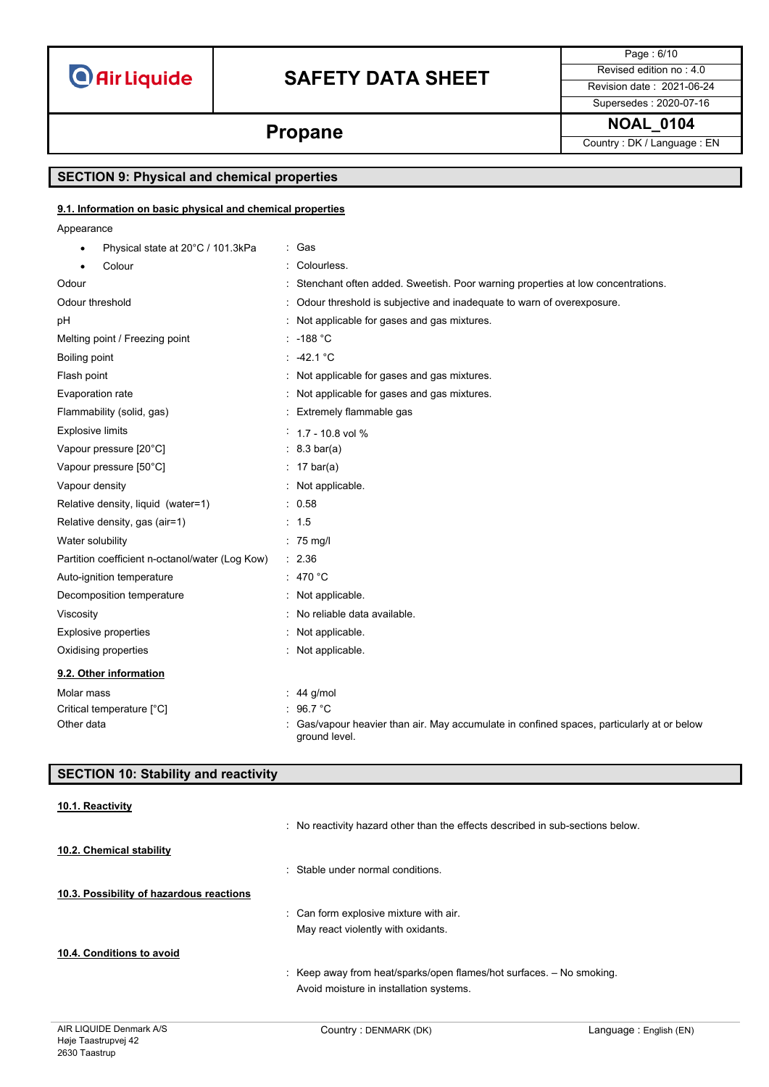## **SAFETY DATA SHEET** Revised edition no : 4.0

Page : 6/10 Supersedes : 2020-07-16

**Propane** NOAL\_0104

#### **SECTION 9: Physical and chemical properties**

#### **9.1. Information on basic physical and chemical properties**

Appearance • Physical state at 20°C / 101.3kPa : Gas • Colour : Colourless. Odour **Stenchant often added. Sweetish. Poor warning properties at low concentrations.** Concentrations.

| Odour threshold                                 | : Odour threshold is subjective and inadequate to warn of overexposure. |
|-------------------------------------------------|-------------------------------------------------------------------------|
| рH                                              | Not applicable for gases and gas mixtures.                              |
| Melting point / Freezing point                  | $: -188 °C$                                                             |
| Boiling point                                   | : $-42.1$ °C                                                            |
| Flash point                                     | Not applicable for gases and gas mixtures.                              |
| Evaporation rate                                | : Not applicable for gases and gas mixtures.                            |
| Flammability (solid, gas)                       | Extremely flammable gas                                                 |
| <b>Explosive limits</b>                         | $1.7 - 10.8$ vol %                                                      |
| Vapour pressure [20°C]                          | $: 8.3 \text{ bar(a)}$                                                  |
| Vapour pressure [50°C]                          | : $17 \text{ bar(a)}$                                                   |
| Vapour density                                  | : Not applicable.                                                       |
| Relative density, liquid (water=1)              | : 0.58                                                                  |
| Relative density, gas (air=1)                   | : 1.5                                                                   |
| Water solubility                                | $: 75 \text{ mg/l}$                                                     |
| Partition coefficient n-octanol/water (Log Kow) | : 2.36                                                                  |
| Auto-ignition temperature                       | : 470 °C                                                                |
| Decomposition temperature                       | : Not applicable.                                                       |
| Viscosity                                       | No reliable data available.                                             |
| <b>Explosive properties</b>                     | Not applicable.                                                         |
| Oxidising properties                            | Not applicable.                                                         |
| 9.2. Other information                          |                                                                         |
| Molar mass                                      | 44 g/mol                                                                |
| Critiaal tamparatura [°C1                       | 02 7 °C                                                                 |

Critical temperature [°C] 36.7 °C Other data : Gas/vapour heavier than air. May accumulate in confined spaces, particularly at or below ground level.

#### **SECTION 10: Stability and reactivity**

#### **10.1. Reactivity**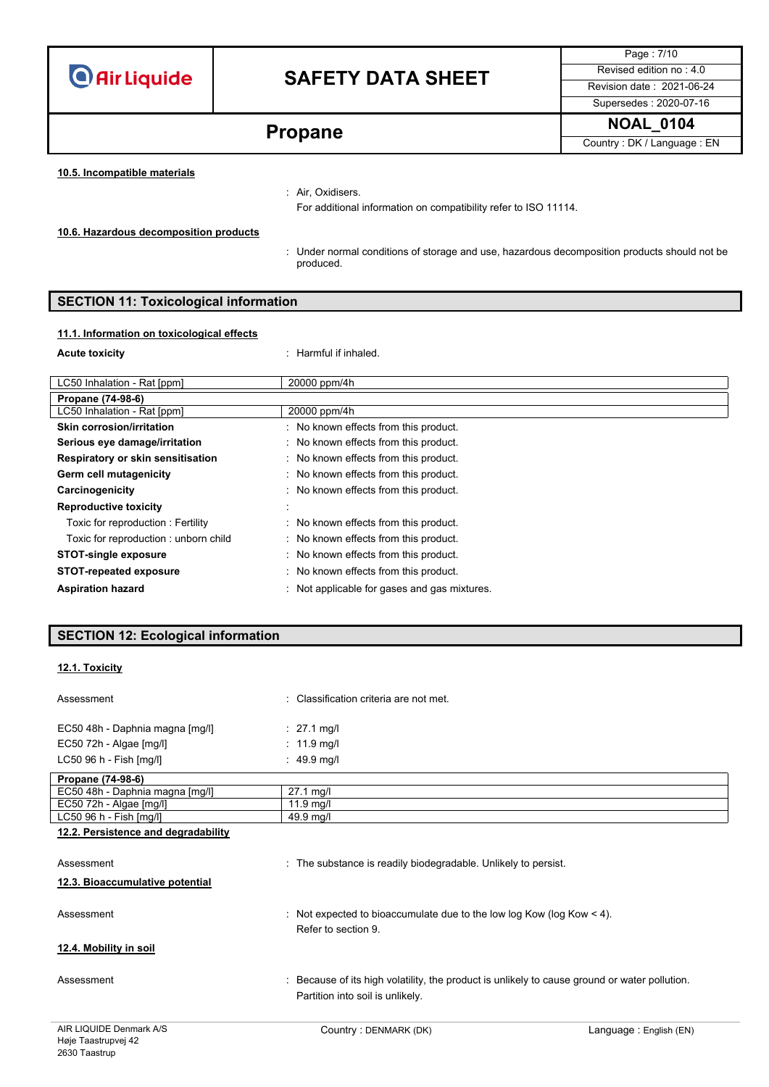

## **SAFETY DATA SHEET** Revised edition no : 4.0

Page : 7/10 Supersedes : 2020-07-16

**Propane** NOAL\_0104

#### **10.5. Incompatible materials**

: Air, Oxidisers.

For additional information on compatibility refer to ISO 11114.

**10.6. Hazardous decomposition products**

: Under normal conditions of storage and use, hazardous decomposition products should not be produced.

#### **SECTION 11: Toxicological information**

#### **11.1. Information on toxicological effects**

**Acute toxicity** : Harmful if inhaled.

| LC50 Inhalation - Rat [ppm]          | 20000 ppm/4h                                 |
|--------------------------------------|----------------------------------------------|
| Propane (74-98-6)                    |                                              |
| LC50 Inhalation - Rat [ppm]          | 20000 ppm/4h                                 |
| Skin corrosion/irritation            | : No known effects from this product.        |
| Serious eye damage/irritation        | : No known effects from this product.        |
| Respiratory or skin sensitisation    | : No known effects from this product.        |
| Germ cell mutagenicity               | : No known effects from this product.        |
| Carcinogenicity                      | : No known effects from this product.        |
| <b>Reproductive toxicity</b>         |                                              |
| Toxic for reproduction: Fertility    | : No known effects from this product.        |
| Toxic for reproduction: unborn child | : No known effects from this product.        |
| <b>STOT-single exposure</b>          | : No known effects from this product.        |
| <b>STOT-repeated exposure</b>        | : No known effects from this product.        |
| <b>Aspiration hazard</b>             | : Not applicable for gases and gas mixtures. |

#### **SECTION 12: Ecological information**

#### **12.1. Toxicity**

| Assessment                          | : Classification criteria are not met.                                                         |
|-------------------------------------|------------------------------------------------------------------------------------------------|
| EC50 48h - Daphnia magna [mg/l]     | : 27.1 mg/l                                                                                    |
| EC50 72h - Algae [mg/l]             | : 11.9 mg/l                                                                                    |
| LC50 96 h - Fish [mg/l]             | : 49.9 mg/l                                                                                    |
| Propane (74-98-6)                   |                                                                                                |
| EC50 48h - Daphnia magna [mq/l]     | $27.1 \text{ mq/l}$                                                                            |
| EC50 72h - Algae [mg/l]             | $11.9$ mg/l                                                                                    |
| LC50 96 h - Fish [mg/l]             | 49.9 mg/l                                                                                      |
| 12.2. Persistence and degradability |                                                                                                |
|                                     |                                                                                                |
| Assessment                          | : The substance is readily biodegradable. Unlikely to persist.                                 |
| 12.3. Bioaccumulative potential     |                                                                                                |
| Assessment                          | : Not expected to bioaccumulate due to the low log Kow (log Kow $<$ 4).<br>Refer to section 9. |
| 12.4. Mobility in soil              |                                                                                                |
| Assessment                          | : Because of its high volatility, the product is unlikely to cause ground or water pollution.  |

Partition into soil is unlikely.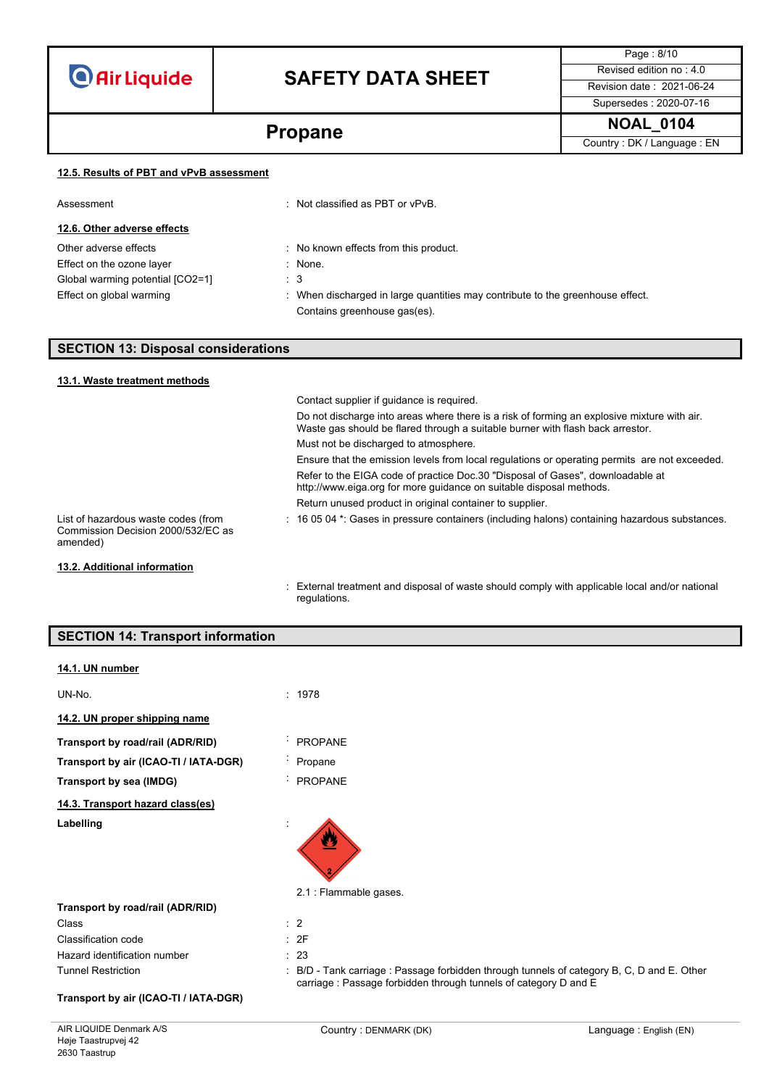## **SAFETY DATA SHEET** Revised edition no : 4.0

Page : 8/10 Supersedes : 2020-07-16

**Propane** NOAL\_0104<br>
Country : DK / Language : EN

|  |  | 12.5. Results of PBT and vPvB assessment |
|--|--|------------------------------------------|
|  |  |                                          |

| Assessment                       | $\therefore$ Not classified as PBT or vPvB.                                                                    |
|----------------------------------|----------------------------------------------------------------------------------------------------------------|
| 12.6. Other adverse effects      |                                                                                                                |
| Other adverse effects            | : No known effects from this product.                                                                          |
| Effect on the ozone layer        | $\therefore$ None.                                                                                             |
| Global warming potential [CO2=1] | $\therefore$ 3                                                                                                 |
| Effect on global warming         | : When discharged in large quantities may contribute to the greenhouse effect.<br>Contains greenhouse gas(es). |

### **SECTION 13: Disposal considerations**

| 13.1. Waste treatment methods                                                         |                                                                                                                                                                               |
|---------------------------------------------------------------------------------------|-------------------------------------------------------------------------------------------------------------------------------------------------------------------------------|
|                                                                                       | Contact supplier if quidance is required.                                                                                                                                     |
|                                                                                       | Do not discharge into areas where there is a risk of forming an explosive mixture with air.<br>Waste gas should be flared through a suitable burner with flash back arrestor. |
|                                                                                       | Must not be discharged to atmosphere.                                                                                                                                         |
|                                                                                       | Ensure that the emission levels from local regulations or operating permits are not exceeded.                                                                                 |
|                                                                                       | Refer to the EIGA code of practice Doc.30 "Disposal of Gases", downloadable at<br>http://www.eiga.org for more guidance on suitable disposal methods.                         |
|                                                                                       | Return unused product in original container to supplier.                                                                                                                      |
| List of hazardous waste codes (from<br>Commission Decision 2000/532/EC as<br>amended) | $\pm$ 16 05 04 $^{\star}$ . Gases in pressure containers (including halons) containing hazardous substances.                                                                  |
| 13.2. Additional information                                                          |                                                                                                                                                                               |
|                                                                                       | : External treatment and disposal of waste should comply with applicable local and/or national                                                                                |

|  |  |  | <b>SECTION 14: Transport information</b> |
|--|--|--|------------------------------------------|
|--|--|--|------------------------------------------|

#### **14.1. UN number**

regulations.

| UN-No.                                | : 1978                                                                                                                                                      |
|---------------------------------------|-------------------------------------------------------------------------------------------------------------------------------------------------------------|
| 14.2. UN proper shipping name         |                                                                                                                                                             |
| Transport by road/rail (ADR/RID)      | <b>PROPANE</b>                                                                                                                                              |
| Transport by air (ICAO-TI / IATA-DGR) | Propane                                                                                                                                                     |
| Transport by sea (IMDG)               | <b>PROPANE</b>                                                                                                                                              |
| 14.3. Transport hazard class(es)      |                                                                                                                                                             |
| Labelling                             | Ø                                                                                                                                                           |
|                                       | 2.1 : Flammable gases.                                                                                                                                      |
| Transport by road/rail (ADR/RID)      |                                                                                                                                                             |
| Class                                 | $\therefore$ 2                                                                                                                                              |
| Classification code                   | : 2F                                                                                                                                                        |
| Hazard identification number          | : 23                                                                                                                                                        |
| <b>Tunnel Restriction</b>             | B/D - Tank carriage : Passage forbidden through tunnels of category B, C, D and E. Other<br>carriage: Passage forbidden through tunnels of category D and E |
| Transport by air (ICAO-TI / IATA-DGR) |                                                                                                                                                             |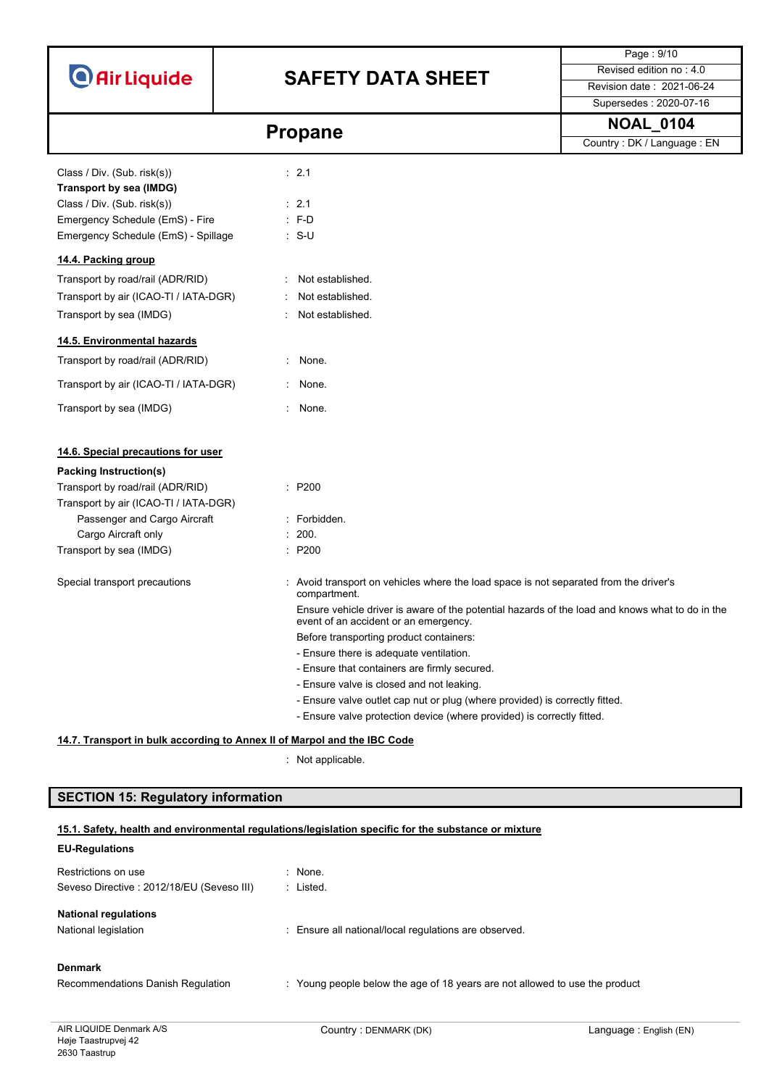

## **SAFETY DATA SHEET** Revised edition no : 4.0

Page : 9/10 Supersedes : 2020-07-16

# **Propane** NOAL\_0104

|                                       | COUNTY . DIN / Language . LIV                                                                                                            |
|---------------------------------------|------------------------------------------------------------------------------------------------------------------------------------------|
| Class / Div. (Sub. risk(s))           | : 2.1                                                                                                                                    |
| Transport by sea (IMDG)               |                                                                                                                                          |
| Class / Div. (Sub. risk(s))           | $\therefore$ 2.1                                                                                                                         |
| Emergency Schedule (EmS) - Fire       | $: F-D$                                                                                                                                  |
| Emergency Schedule (EmS) - Spillage   | ∴ S-U                                                                                                                                    |
| 14.4. Packing group                   |                                                                                                                                          |
| Transport by road/rail (ADR/RID)      | Not established.                                                                                                                         |
| Transport by air (ICAO-TI / IATA-DGR) | Not established.                                                                                                                         |
| Transport by sea (IMDG)               | Not established.                                                                                                                         |
| 14.5. Environmental hazards           |                                                                                                                                          |
| Transport by road/rail (ADR/RID)      | : None.                                                                                                                                  |
| Transport by air (ICAO-TI / IATA-DGR) | : None.                                                                                                                                  |
| Transport by sea (IMDG)               | : None.                                                                                                                                  |
|                                       |                                                                                                                                          |
| 14.6. Special precautions for user    |                                                                                                                                          |
| <b>Packing Instruction(s)</b>         |                                                                                                                                          |
| Transport by road/rail (ADR/RID)      | : P200                                                                                                                                   |
| Transport by air (ICAO-TI / IATA-DGR) |                                                                                                                                          |
| Passenger and Cargo Aircraft          | : Forbidden.                                                                                                                             |
| Cargo Aircraft only                   | : 200.                                                                                                                                   |
| Transport by sea (IMDG)               | : P200                                                                                                                                   |
| Special transport precautions         | : Avoid transport on vehicles where the load space is not separated from the driver's<br>compartment.                                    |
|                                       | Ensure vehicle driver is aware of the potential hazards of the load and knows what to do in the<br>event of an accident or an emergency. |
|                                       | Before transporting product containers:                                                                                                  |
|                                       | - Ensure there is adequate ventilation.                                                                                                  |
|                                       | - Ensure that containers are firmly secured.                                                                                             |
|                                       | - Ensure valve is closed and not leaking.                                                                                                |
|                                       | - Ensure valve outlet cap nut or plug (where provided) is correctly fitted.                                                              |
|                                       | - Ensure valve protection device (where provided) is correctly fitted.                                                                   |
|                                       | $\mathbf{r}$ and $\mathbf{r}$ and $\mathbf{r}$ and $\mathbf{r}$                                                                          |

#### **14.7. Transport in bulk according to Annex II of Marpol and the IBC Code**

: Not applicable.

### **SECTION 15: Regulatory information**

#### **15.1. Safety, health and environmental regulations/legislation specific for the substance or mixture**

#### **EU-Regulations**

| Restrictions on use<br>Seveso Directive: 2012/18/EU (Seveso III) | $:$ None.<br>: Listed.                                                      |
|------------------------------------------------------------------|-----------------------------------------------------------------------------|
| <b>National regulations</b><br>National legislation              | : Ensure all national/local regulations are observed.                       |
| <b>Denmark</b><br>Recommendations Danish Regulation              | : Young people below the age of 18 years are not allowed to use the product |